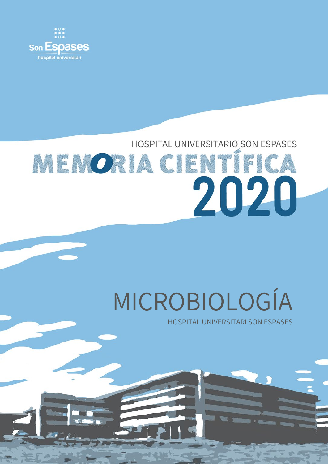

## HOSPITAL UNIVERSITARIO SON ESPASES **MENORIA CIENTÍFICA** 2020

# MICROBIOLOGÍA

HOSPITAL UNIVERSITARI SON ESPASES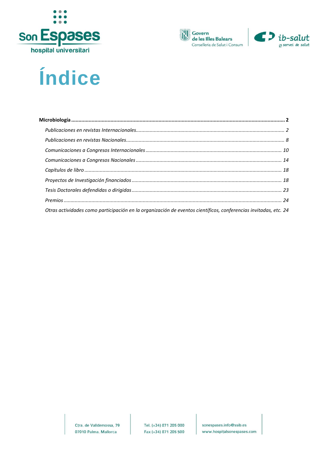





## Índice

| Otras actividades como participación en la organización de eventos científicos, conferencias invitadas, etc. 24 |  |
|-----------------------------------------------------------------------------------------------------------------|--|

Ctra. de Valldemossa, 79 07010 Palma. Mallorca

sonespases.info@ssib.es www.hospitalsonespases.com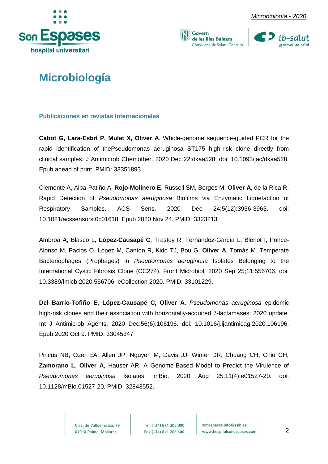







## <span id="page-2-0"></span>**Microbiología**

<span id="page-2-1"></span>**Publicaciones en revistas Internacionales**

**Cabot G, Lara-Esbrí P, Mulet X, Oliver A**. Whole-genome sequence-guided PCR for the rapid identification of thePseudomonas aeruginosa ST175 high-risk clone directly from clinical samples. J Antimicrob Chemother. 2020 Dec 22:dkaa528. doi: 10.1093/jac/dkaa528. Epub ahead of print. PMID: 33351893.

Clemente A, Alba-Patiño A, **Rojo-Molinero E**, Russell SM, Borges M, **Oliver A**, de la Rica R. Rapid Detection of *Pseudomonas aeruginosa* Biofilms via Enzymatic Liquefaction of Respiratory Samples. ACS Sens. 2020 Dec 24;5(12):3956-3963. doi: 10.1021/acssensors.0c01618. Epub 2020 Nov 24. PMID: 3323213.

Ambroa A, Blasco L, **López-Causapé C**, Trastoy R, Fernandez-García L, Bleriot I, Ponce-Alonso M, Pacios O, López M, Cantón R, Kidd TJ, Bou G, **Oliver A**, Tomás M. Temperate Bacteriophages (Prophages) in *Pseudomonas aeruginosa* Isolates Belonging to the International Cystic Fibrosis Clone (CC274). Front Microbiol. 2020 Sep 25;11:556706. doi: 10.3389/fmicb.2020.556706. eCollection 2020. PMID: 33101229.

**Del Barrio-Tofiño E, López-Causapé C, Oliver A**. *Pseudomonas aeruginosa* epidemic high-risk clones and their association with horizontally-acquired β-lactamases: 2020 update. Int J Antimicrob Agents. 2020 Dec;56(6):106196. doi: 10.1016/j.ijantimicag.2020.106196. Epub 2020 Oct 9. PMID: 33045347

Pincus NB, Ozer EA, Allen JP, Nguyen M, Davis JJ, Winter DR, Chuang CH, Chiu CH, **Zamorano L**, **Oliver A**, Hauser AR. A Genome-Based Model to Predict the Virulence of *Pseudomonas aeruginosa* Isolates. mBio. 2020 Aug 25;11(4):e01527-20. doi: 10.1128/mBio.01527-20. PMID: 32843552.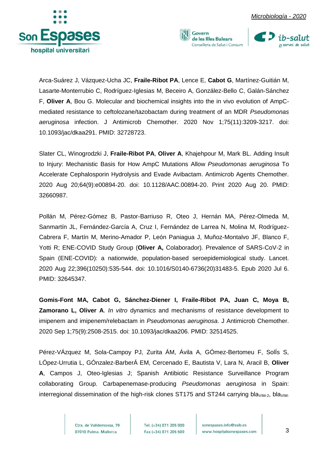

Arca-Suárez J, Vázquez-Ucha JC, **Fraile-Ribot PA**, Lence E, **Cabot G**, Martínez-Guitián M, Lasarte-Monterrubio C, Rodríguez-Iglesias M, Beceiro A, González-Bello C, Galán-Sánchez F, **Oliver A**, Bou G. Molecular and biochemical insights into the in vivo evolution of AmpCmediated resistance to ceftolozane/tazobactam during treatment of an MDR *Pseudomonas aeruginosa* infection. J Antimicrob Chemother. 2020 Nov 1;75(11):3209-3217. doi: 10.1093/jac/dkaa291. PMID: 32728723.

Govern

de les Illes Balears Conselleria de Salut i Consum

Slater CL, Winogrodzki J, **Fraile-Ribot PA**, **Oliver A**, Khajehpour M, Mark BL. Adding Insult to Injury: Mechanistic Basis for How AmpC Mutations Allow *Pseudomonas aeruginosa* To Accelerate Cephalosporin Hydrolysis and Evade Avibactam. Antimicrob Agents Chemother. 2020 Aug 20;64(9):e00894-20. doi: 10.1128/AAC.00894-20. Print 2020 Aug 20. PMID: 32660987.

Pollán M, Pérez-Gómez B, Pastor-Barriuso R, Oteo J, Hernán MA, Pérez-Olmeda M, Sanmartín JL, Fernández-García A, Cruz I, Fernández de Larrea N, Molina M, Rodríguez-Cabrera F, Martín M, Merino-Amador P, León Paniagua J, Muñoz-Montalvo JF, Blanco F, Yotti R; ENE-COVID Study Group (**Oliver A,** Colaborador). Prevalence of SARS-CoV-2 in Spain (ENE-COVID): a nationwide, population-based seroepidemiological study. Lancet. 2020 Aug 22;396(10250):535-544. doi: 10.1016/S0140-6736(20)31483-5. Epub 2020 Jul 6. PMID: 32645347.

**Gomis-Font MA, Cabot G, Sánchez-Diener I, Fraile-Ribot PA, Juan C, Moya B, Zamorano L, Oliver A**. *In vitro* dynamics and mechanisms of resistance development to imipenem and imipenem/relebactam in *Pseudomonas aeruginosa*. J Antimicrob Chemother. 2020 Sep 1;75(9):2508-2515. doi: 10.1093/jac/dkaa206. PMID: 32514525.

Pérez-VÁzquez M, Sola-Campoy PJ, Zurita ÁM, Ávila A, GÓmez-Bertomeu F, SolÍs S, LÓpez-Urrutia L, GÓnzalez-BarberÁ EM, Cercenado E, Bautista V, Lara N, Aracil B, **Oliver A**, Campos J, Oteo-Iglesias J; Spanish Antibiotic Resistance Surveillance Program collaborating Group. Carbapenemase-producing *Pseudomonas aeruginosa* in Spain: interregional dissemination of the high-risk clones ST175 and ST244 carrying bla<sub>VIM-2</sub>, bla<sub>VIM-</sub>

> Ctra, de Valldemossa, 79 07010 Palma. Mallorca

Tel. (+34) 871 205 000 Fax (+34) 871 205 500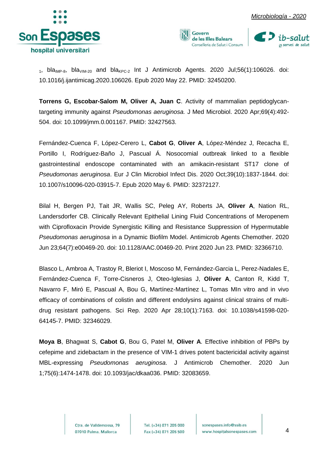



1, bla<sub>IMP-8</sub>, bla<sub>VIM-20</sub> and bla<sub>KPC-2</sub> Int J Antimicrob Agents. 2020 Jul;56(1):106026. doi: 10.1016/j.ijantimicag.2020.106026. Epub 2020 May 22. PMID: 32450200.

**Torrens G, Escobar-Salom M, Oliver A, Juan C**. Activity of mammalian peptidoglycantargeting immunity against *Pseudomonas aeruginosa.* J Med Microbiol. 2020 Apr;69(4):492- 504. doi: 10.1099/jmm.0.001167. PMID: 32427563.

Fernández-Cuenca F, López-Cerero L, **Cabot G**, **Oliver A**, López-Méndez J, Recacha E, Portillo I, Rodríguez-Baño J, Pascual Á. Nosocomial outbreak linked to a flexible gastrointestinal endoscope contaminated with an amikacin-resistant ST17 clone of *Pseudomonas aeruginosa*. Eur J Clin Microbiol Infect Dis. 2020 Oct;39(10):1837-1844. doi: 10.1007/s10096-020-03915-7. Epub 2020 May 6. PMID: 32372127.

Bilal H, Bergen PJ, Tait JR, Wallis SC, Peleg AY, Roberts JA, **Oliver A**, Nation RL, Landersdorfer CB. Clinically Relevant Epithelial Lining Fluid Concentrations of Meropenem with Ciprofloxacin Provide Synergistic Killing and Resistance Suppression of Hypermutable *Pseudomonas aeruginosa* in a Dynamic Biofilm Model. Antimicrob Agents Chemother. 2020 Jun 23;64(7):e00469-20. doi: 10.1128/AAC.00469-20. Print 2020 Jun 23. PMID: 32366710.

Blasco L, Ambroa A, Trastoy R, Bleriot I, Moscoso M, Fernández-Garcia L, Perez-Nadales E, Fernández-Cuenca F, Torre-Cisneros J, Oteo-Iglesias J, **Oliver A**, Canton R, Kidd T, Navarro F, Miró E, Pascual A, Bou G, Martínez-Martínez L, Tomas MIn vitro and in vivo efficacy of combinations of colistin and different endolysins against clinical strains of multidrug resistant pathogens. Sci Rep. 2020 Apr 28;10(1):7163. doi: 10.1038/s41598-020- 64145-7. PMID: 32346029.

**Moya B**, Bhagwat S, **Cabot G**, Bou G, Patel M, **Oliver A**. Effective inhibition of PBPs by cefepime and zidebactam in the presence of VIM-1 drives potent bactericidal activity against MBL-expressing *Pseudomonas aeruginosa*. J Antimicrob Chemother. 2020 Jun 1;75(6):1474-1478. doi: 10.1093/jac/dkaa036. PMID: 32083659.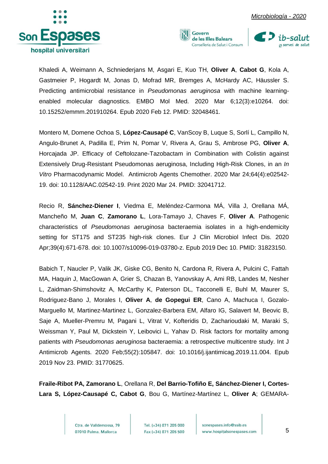

Khaledi A, Weimann A, Schniederjans M, Asgari E, Kuo TH, **Oliver A**, **Cabot G**, Kola A, Gastmeier P, Hogardt M, Jonas D, Mofrad MR, Bremges A, McHardy AC, Häussler S. Predicting antimicrobial resistance in *Pseudomonas aeruginosa* with machine learningenabled molecular diagnostics. EMBO Mol Med. 2020 Mar 6;12(3):e10264. doi: 10.15252/emmm.201910264. Epub 2020 Feb 12. PMID: 32048461.

Govern

de les Illes Balears Conselleria de Salut i Consum

Montero M, Domene Ochoa S, **López-Causapé C**, VanScoy B, Luque S, Sorlí L, Campillo N, Angulo-Brunet A, Padilla E, Prim N, Pomar V, Rivera A, Grau S, Ambrose PG, **Oliver A**, Horcajada JP. Efficacy of Ceftolozane-Tazobactam in Combination with Colistin against Extensively Drug-Resistant Pseudomonas aeruginosa, Including High-Risk Clones, in an *In Vitro* Pharmacodynamic Model. Antimicrob Agents Chemother. 2020 Mar 24;64(4):e02542- 19. doi: 10.1128/AAC.02542-19. Print 2020 Mar 24. PMID: 32041712.

Recio R, **Sánchez-Diener I**, Viedma E, Meléndez-Carmona MÁ, Villa J, Orellana MÁ, Mancheño M, **Juan C**, **Zamorano L**, Lora-Tamayo J, Chaves F, **Oliver A**. Pathogenic characteristics of *Pseudomonas aeruginosa* bacteraemia isolates in a high-endemicity setting for ST175 and ST235 high-risk clones. Eur J Clin Microbiol Infect Dis. 2020 Apr;39(4):671-678. doi: 10.1007/s10096-019-03780-z. Epub 2019 Dec 10. PMID: 31823150.

Babich T, Naucler P, Valik JK, Giske CG, Benito N, Cardona R, Rivera A, Pulcini C, Fattah MA, Haquin J, MacGowan A, Grier S, Chazan B, Yanovskay A, Ami RB, Landes M, Nesher L, Zaidman-Shimshovitz A, McCarthy K, Paterson DL, Tacconelli E, Buhl M, Maurer S, Rodriguez-Bano J, Morales I, **Oliver A**, **de Gopegui ER**, Cano A, Machuca I, Gozalo-Marguello M, Martinez-Martinez L, Gonzalez-Barbera EM, Alfaro IG, Salavert M, Beovic B, Saje A, Mueller-Premru M, Pagani L, Vitrat V, Kofteridis D, Zacharioudaki M, Maraki S, Weissman Y, Paul M, Dickstein Y, Leibovici L, Yahav D. Risk factors for mortality among patients with *Pseudomonas aeruginosa* bacteraemia: a retrospective multicentre study. Int J Antimicrob Agents. 2020 Feb;55(2):105847. doi: 10.1016/j.ijantimicag.2019.11.004. Epub 2019 Nov 23. PMID: 31770625.

**Fraile-Ribot PA, Zamorano L**, Orellana R, **Del Barrio-Tofiño E, Sánchez-Diener I, Cortes-Lara S, López-Causapé C, Cabot G**, Bou G, Martínez-Martínez L, **Oliver A**; GEMARA-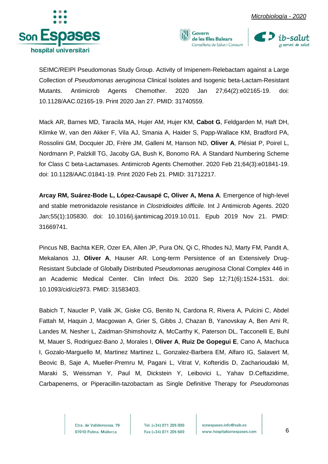





SEIMC/REIPI Pseudomonas Study Group. Activity of Imipenem-Relebactam against a Large Collection of *Pseudomonas aeruginosa* Clinical Isolates and Isogenic beta-Lactam-Resistant Mutants. Antimicrob Agents Chemother. 2020 Jan 27;64(2):e02165-19. doi: 10.1128/AAC.02165-19. Print 2020 Jan 27. PMID: 31740559.

Mack AR, Barnes MD, Taracila MA, Hujer AM, Hujer KM, **Cabot G**, Feldgarden M, Haft DH, Klimke W, van den Akker F, Vila AJ, Smania A, Haider S, Papp-Wallace KM, Bradford PA, Rossolini GM, Docquier JD, Frère JM, Galleni M, Hanson ND, **Oliver A**, Plésiat P, Poirel L, Nordmann P, Palzkill TG, Jacoby GA, Bush K, Bonomo RA. A Standard Numbering Scheme for Class C beta-Lactamases. Antimicrob Agents Chemother. 2020 Feb 21;64(3):e01841-19. doi: 10.1128/AAC.01841-19. Print 2020 Feb 21. PMID: 31712217.

**Arcay RM, Suárez-Bode L, López-Causapé C, Oliver A, Mena A**. Emergence of high-level and stable metronidazole resistance in *Clostridioides difficile.* Int J Antimicrob Agents. 2020 Jan;55(1):105830. doi: 10.1016/j.ijantimicag.2019.10.011. Epub 2019 Nov 21. PMID: 31669741.

Pincus NB, Bachta KER, Ozer EA, Allen JP, Pura ON, Qi C, Rhodes NJ, Marty FM, Pandit A, Mekalanos JJ, **Oliver A**, Hauser AR. Long-term Persistence of an Extensively Drug-Resistant Subclade of Globally Distributed *Pseudomonas aeruginosa* Clonal Complex 446 in an Academic Medical Center. Clin Infect Dis. 2020 Sep 12;71(6):1524-1531. doi: 10.1093/cid/ciz973. PMID: 31583403.

Babich T, Naucler P, Valik JK, Giske CG, Benito N, Cardona R, Rivera A, Pulcini C, Abdel Fattah M, Haquin J, Macgowan A, Grier S, Gibbs J, Chazan B, Yanovskay A, Ben Ami R, Landes M, Nesher L, Zaidman-Shimshovitz A, McCarthy K, Paterson DL, Tacconelli E, Buhl M, Mauer S, Rodriguez-Bano J, Morales I, **Oliver A**, **Ruiz De Gopegui E**, Cano A, Machuca I, Gozalo-Marguello M, Martinez Martinez L, Gonzalez-Barbera EM, Alfaro IG, Salavert M, Beovic B, Saje A, Mueller-Premru M, Pagani L, Vitrat V, Kofteridis D, Zacharioudaki M, Maraki S, Weissman Y, Paul M, Dickstein Y, Leibovici L, Yahav D.Ceftazidime, Carbapenems, or Piperacillin-tazobactam as Single Definitive Therapy for *Pseudomonas* 

> Ctra, de Valldemossa, 79 07010 Palma. Mallorca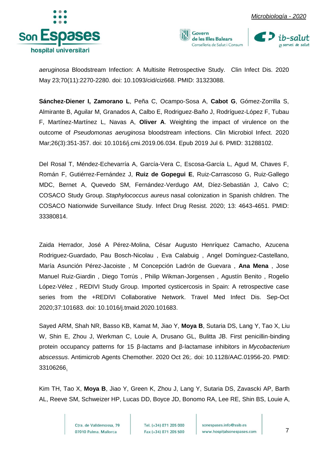







*aeruginosa* Bloodstream Infection: A Multisite Retrospective Study. Clin Infect Dis. 2020 May 23;70(11):2270-2280. doi: 10.1093/cid/ciz668. PMID: 31323088.

**Sánchez-Diener I, Zamorano L**, Peña C, Ocampo-Sosa A, **Cabot G**, Gómez-Zorrilla S, Almirante B, Aguilar M, Granados A, Calbo E, Rodriguez-Baño J, Rodríguez-López F, Tubau F, Martínez-Martínez L, Navas A, **Oliver A**. Weighting the impact of virulence on the outcome of *Pseudomonas aeruginosa* bloodstream infections. Clin Microbiol Infect. 2020 Mar;26(3):351-357. doi: 10.1016/j.cmi.2019.06.034. Epub 2019 Jul 6. PMID: 31288102.

Del Rosal T, Méndez-Echevarría A, García-Vera C, Escosa-García L, Agud M, Chaves F, Román F, Gutiérrez-Fernández J, **Ruiz de Gopegui E**, Ruiz-Carrascoso G, Ruiz-Gallego MDC, Bernet A, Quevedo SM, Fernández-Verdugo AM, Díez-Sebastián J, Calvo C; COSACO Study Group. *Staphylococcus aureus* nasal colonization in Spanish children. The COSACO Nationwide Surveillance Study. Infect Drug Resist. 2020; 13: 4643-4651. PMID: 33380814.

Zaida Herrador, José A Pérez-Molina, César Augusto Henríquez Camacho, Azucena Rodriguez-Guardado, Pau Bosch-Nicolau , Eva Calabuig , Angel Domínguez-Castellano, María Asunción Pérez-Jacoiste , M Concepción Ladrón de Guevara , **Ana Mena** , Jose Manuel Ruiz-Giardin , Diego Torrús , Philip Wikman-Jorgensen , Agustín Benito , Rogelio López-Vélez , REDIVI Study Group. Imported cysticercosis in Spain: A retrospective case series from the +REDIVI Collaborative Network. Travel Med Infect Dis. Sep-Oct 2020;37:101683. doi: 10.1016/j.tmaid.2020.101683.

Sayed ARM, Shah NR, Basso KB, Kamat M, Jiao Y, **Moya B**, Sutaria DS, Lang Y, Tao X, Liu W, Shin E, Zhou J, Werkman C, Louie A, Drusano GL, Bulitta JB. First penicillin-binding protein occupancy patterns for 15 β-lactams and β-lactamase inhibitors in *Mycobacterium abscessus*. Antimicrob Agents Chemother. 2020 Oct 26;. doi: 10.1128/AAC.01956-20. [PMID:](https://pubmed.ncbi.nlm.nih.gov/33106266/)  [33106266.](https://pubmed.ncbi.nlm.nih.gov/33106266/)

Kim TH, Tao X, **Moya B**, Jiao Y, Green K, Zhou J, Lang Y, Sutaria DS, Zavascki AP, Barth AL, Reeve SM, Schweizer HP, Lucas DD, Boyce JD, Bonomo RA, Lee RE, Shin BS, Louie A,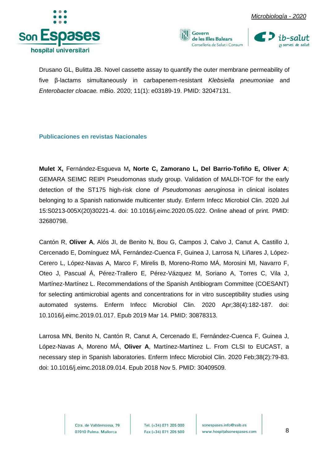



Drusano GL, Bulitta JB. Novel cassette assay to quantify the outer membrane permeability of five β-lactams simultaneously in carbapenem-resistant *Klebsiella pneumoniae* and *Enterobacter cloacae.* mBio. 2020; 11(1): e03189-19. [PMID: 32047131.](https://www.ncbi.nlm.nih.gov/pubmed/32047131)

<span id="page-8-0"></span>**Publicaciones en revistas Nacionales**

**Mulet X,** Fernández-Esgueva M**, Norte C, Zamorano L, Del Barrio-Tofiño E, Oliver A**; GEMARA SEIMC REIPI Pseudomonas study group. Validation of MALDI-TOF for the early detection of the ST175 high-risk clone of *Pseudomonas aeruginosa* in clinical isolates belonging to a Spanish nationwide multicenter study. Enferm Infecc Microbiol Clin. 2020 Jul 15:S0213-005X(20)30221-4. doi: 10.1016/j.eimc.2020.05.022. Online ahead of print. PMID: 32680798.

Cantón R, **Oliver A**, Alós JI, de Benito N, Bou G, Campos J, Calvo J, Canut A, Castillo J, Cercenado E, Domínguez MÁ, Fernández-Cuenca F, Guinea J, Larrosa N, Liñares J, López-Cerero L, López-Navas A, Marco F, Mirelis B, Moreno-Romo MÁ, Morosini MI, Navarro F, Oteo J, Pascual Á, Pérez-Trallero E, Pérez-Vázquez M, Soriano A, Torres C, Vila J, Martínez-Martínez L. Recommendations of the Spanish Antibiogram Committee (COESANT) for selecting antimicrobial agents and concentrations for in vitro susceptibility studies using automated systems. Enferm Infecc Microbiol Clin. 2020 Apr;38(4):182-187. doi: 10.1016/j.eimc.2019.01.017. Epub 2019 Mar 14. PMID: 30878313.

Larrosa MN, Benito N, Cantón R, Canut A, Cercenado E, Fernández-Cuenca F, Guinea J, López-Navas A, Moreno MÁ, **Oliver A**, Martínez-Martínez L. From CLSI to EUCAST, a necessary step in Spanish laboratories. Enferm Infecc Microbiol Clin. 2020 Feb;38(2):79-83. doi: 10.1016/j.eimc.2018.09.014. Epub 2018 Nov 5. PMID: 30409509.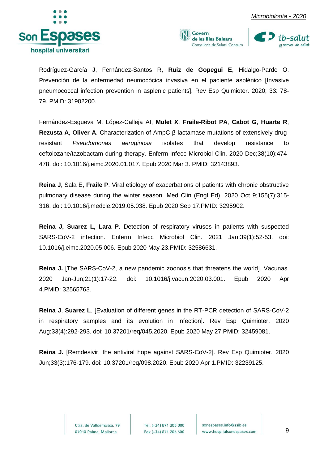





Rodríguez-García J, Fernández-Santos R, **Ruiz de Gopegui E**, Hidalgo-Pardo O. Prevención de la enfermedad neumocócica invasiva en el paciente asplénico [Invasive pneumococcal infection prevention in asplenic patients]. Rev Esp Quimioter. 2020; 33: 78- 79. PMID: 31902200.

Fernández-Esgueva M, López-Calleja AI, **Mulet X**, **Fraile-Ribot PA**, **Cabot G**, **Huarte R**, **Rezusta A**, **Oliver A**. Characterization of AmpC β-lactamase mutations of extensively drugresistant *Pseudomonas aeruginosa* isolates that develop resistance to ceftolozane/tazobactam during therapy. Enferm Infecc Microbiol Clin. 2020 Dec;38(10):474- 478. doi: 10.1016/j.eimc.2020.01.017. Epub 2020 Mar 3. PMID: 32143893.

**Reina J**, Sala E, **Fraile P**. [Viral etiology of exacerbations of patients with chronic obstructive](https://pubmed.ncbi.nlm.nih.gov/32959022/)  [pulmonary disease during the winter season.](https://pubmed.ncbi.nlm.nih.gov/32959022/) Med Clin (Engl Ed). 2020 Oct 9;155(7):315- 316. doi: 10.1016/j.medcle.2019.05.038. Epub 2020 Sep 17.PMID: 3295902.

**Reina J, Suarez L, Lara P.** [Detection of respiratory viruses in patients with suspected](https://pubmed.ncbi.nlm.nih.gov/32586631/)  [SARS-CoV-2 infection.](https://pubmed.ncbi.nlm.nih.gov/32586631/) Enferm Infecc Microbiol Clin. 2021 Jan;39(1):52-53. doi: 10.1016/j.eimc.2020.05.006. Epub 2020 May 23.PMID: 32586631.

**Reina J.** [\[The SARS-CoV-2, a new pandemic zoonosis that threatens the world\].](https://pubmed.ncbi.nlm.nih.gov/32565763/) Vacunas. 2020 Jan-Jun;21(1):17-22. doi: 10.1016/j.vacun.2020.03.001. Epub 2020 Apr 4.PMID: 32565763.

**Reina J**, **Suarez L**. [\[Evaluation of different genes in the RT-PCR detection of SARS-CoV-2](https://pubmed.ncbi.nlm.nih.gov/32459081/)  [in respiratory samples and its evolution in infection\].](https://pubmed.ncbi.nlm.nih.gov/32459081/) Rev Esp Quimioter. 2020 Aug;33(4):292-293. doi: 10.37201/req/045.2020. Epub 2020 May 27.PMID: 32459081.

**Reina J.** [\[Remdesivir, the antiviral hope against SARS-CoV-2\].](https://pubmed.ncbi.nlm.nih.gov/32239125/) Rev Esp Quimioter. 2020 Jun;33(3):176-179. doi: 10.37201/req/098.2020. Epub 2020 Apr 1.PMID: 32239125.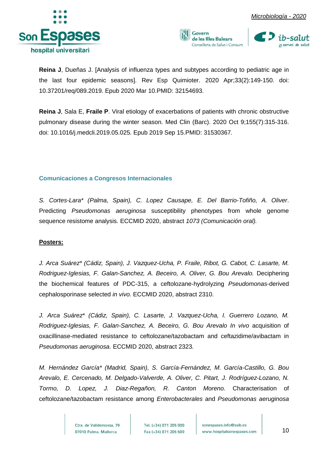





**Reina J**, Dueñas J. [Analysis of influenza types and subtypes according to pediatric age in the last four epidemic seasons]. Rev Esp Quimioter. 2020 Apr;33(2):149-150. doi: 10.37201/req/089.2019. Epub 2020 Mar 10.PMID: 32154693.

**Reina J**, Sala E, **Fraile P**. [Viral etiology of exacerbations of patients with chronic obstructive](https://pubmed.ncbi.nlm.nih.gov/31530367/)  [pulmonary disease during the winter season.](https://pubmed.ncbi.nlm.nih.gov/31530367/) Med Clin (Barc). 2020 Oct 9;155(7):315-316. doi: 10.1016/j.medcli.2019.05.025. Epub 2019 Sep 15.PMID: 31530367.

### <span id="page-10-0"></span>**Comunicaciones a Congresos Internacionales**

*S. Cortes-Lara\* (Palma, Spain), C. Lopez Causape, E. Del Barrio-Tofiño, A. Oliver*. Predicting *Pseudomonas aeruginosa* susceptibility phenotypes from whole genome sequence resistome analysis. ECCMID 2020, abstract *1073 (Comunicación oral).*

#### **Posters:**

*J. Arca Suárez\* (Cádiz, Spain), J. Vazquez-Ucha, P. Fraile, Ribot, G. Cabot, C. Lasarte, M. Rodriguez-Iglesias, F. Galan-Sanchez, A. Beceiro, A. Oliver, G. Bou Arevalo.* Deciphering the biochemical features of PDC-315, a ceftolozane-hydrolyzing *Pseudomonas*-derived cephalosporinase selected *in vivo.* ECCMID 2020, abstract 2310.

*J. Arca Suárez\* (Cádiz, Spain), C. Lasarte, J. Vazquez-Ucha, I. Guerrero Lozano, M. Rodriguez-Iglesias, F. Galan-Sanchez, A. Beceiro, G. Bou Arevalo In vivo acquisition of* oxacillinase-mediated resistance to ceftolozane/tazobactam and ceftazidime/avibactam in *Pseudomonas aeruginosa.* ECCMID 2020, abstract 2323.

*M. Hernández García\* (Madrid, Spain), S. García-Fernández, M. García-Castillo, G. Bou Arevalo, E. Cercenado, M. Delgado-Valverde, A. Oliver, C. Pitart, J. Rodríguez-Lozano, N. Tormo, D. Lopez, J. Diaz-Regañon, R. Canton Moreno.* Characterisation of ceftolozane/tazobactam resistance among *Enterobacterales* and *Pseudomonas aeruginosa* 

> Ctra, de Valldemossa, 79 07010 Palma. Mallorca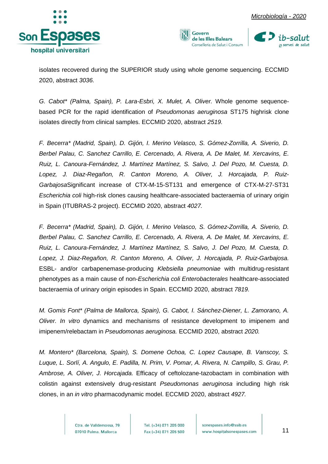





isolates recovered during the SUPERIOR study using whole genome sequencing. ECCMID 2020, abstract *3036.*

*G. Cabot\* (Palma, Spain), P. Lara-Esbri, X. Mulet, A. Oliver.* Whole genome sequencebased PCR for the rapid identification of *Pseudomonas aeruginosa* ST175 highrisk clone isolates directly from clinical samples. ECCMID 2020, abstract *2519.*

*F. Becerra\* (Madrid, Spain), D. Gijón, I. Merino Velasco, S. Gómez-Zorrilla, A. Siverio, D. Berbel Palau, C. Sanchez Carrillo, E. Cercenado, A. Rivera, A. De Malet, M. Xercavins, E. Ruiz, L. Canoura-Fernández, J. Martínez Martínez, S. Salvo, J. Del Pozo, M. Cuesta, D. Lopez, J. Diaz-Regañon, R. Canton Moreno, A. Oliver, J. Horcajada, P. Ruiz-Garbajosa*Significant increase of CTX-M-15-ST131 and emergence of CTX-M-27-ST31 *Escherichia coli* high-risk clones causing healthcare-associated bacteraemia of urinary origin in Spain (ITUBRAS-2 project). ECCMID 2020, abstract *4027.*

*F. Becerra\* (Madrid, Spain), D. Gijón, I. Merino Velasco, S. Gómez-Zorrilla, A. Siverio, D. Berbel Palau, C. Sanchez Carrillo, E. Cercenado, A. Rivera, A. De Malet, M. Xercavins, E. Ruiz, L. Canoura-Fernández, J. Martínez Martínez, S. Salvo, J. Del Pozo, M. Cuesta, D. Lopez, J. Diaz-Regañon, R. Canton Moreno, A. Oliver, J. Horcajada, P. Ruiz-Garbajosa.*  ESBL- and/or carbapenemase-producing *Klebsiella pneumoniae* with multidrug-resistant phenotypes as a main cause of non-*Escherichia coli Enterobacterales* healthcare-associated bacteraemia of urinary origin episodes in Spain. ECCMID 2020, abstract *7819.*

*M. Gomis Font\* (Palma de Mallorca, Spain), G. Cabot, I. Sánchez-Diener, L. Zamorano, A. Oliver. In vitro* dynamics and mechanisms of resistance development to imipenem and imipenem/relebactam in *Pseudomonas aeruginosa.* ECCMID 2020, abstract *2020.*

*M. Montero\* (Barcelona, Spain), S. Domene Ochoa, C. Lopez Causape, B. Vanscoy, S. Luque, L. Sorlí, A. Angulo, E. Padilla, N. Prim, V. Pomar, A. Rivera, N. Campillo, S. Grau, P. Ambrose, A. Oliver, J. Horcajada.* Efficacy of ceftolozane-tazobactam in combination with colistin against extensively drug-resistant *Pseudomonas aeruginosa* including high risk clones, in an *in vitro* pharmacodynamic model. ECCMID 2020, abstract *4927.*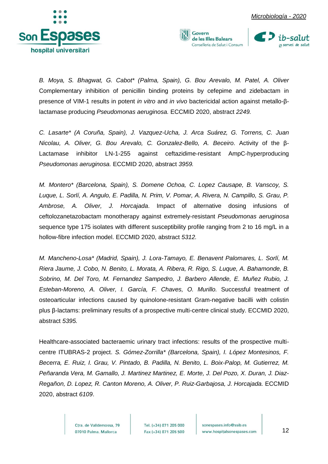



*B. Moya, S. Bhagwat, G. Cabot\* (Palma, Spain), G. Bou Arevalo, M. Patel, A. Oliver* Complementary inhibition of penicillin binding proteins by cefepime and zidebactam in presence of VIM-1 results in potent *in vitro* and *in vivo* bactericidal action against metallo-βlactamase producing *Pseudomonas aeruginosa.* ECCMID 2020, abstract *2249.*

Govern

de les Illes Balears Conselleria de Salut i Consum

*C. Lasarte\* (A Coruña, Spain), J. Vazquez-Ucha, J. Arca Suárez, G. Torrens, C. Juan Nicolau, A. Oliver, G. Bou Arevalo, C. Gonzalez-Bello, A. Beceiro*. Activity of the β-Lactamase inhibitor LN-1-255 against ceftazidime-resistant AmpC-hyperproducing *Pseudomonas aeruginosa.* ECCMID 2020, abstract *3959.*

*M. Montero\* (Barcelona, Spain), S. Domene Ochoa, C. Lopez Causape, B. Vanscoy, S. Luque, L. Sorlí, A. Angulo, E. Padilla, N. Prim, V. Pomar, A. Rivera, N. Campillo, S. Grau, P. Ambrose, A. Oliver, J. Horcajada*. Impact of alternative dosing infusions of ceftolozanetazobactam monotherapy against extremely-resistant *Pseudomonas aeruginosa*  sequence type 175 isolates with different susceptibility profile ranging from 2 to 16 mg/L in a hollow-fibre infection model. ECCMID 2020, abstract *5312.*

*M. Mancheno-Losa\* (Madrid, Spain), J. Lora-Tamayo, E. Benavent Palomares, L. Sorlí, M. Riera Jaume, J. Cobo, N. Benito, L. Morata, A. Ribera, R. Rigo, S. Luque, A. Bahamonde, B. Sobrino, M. Del Toro, M. Fernandez Sampedro, J. Barbero Allende, E. Muñez Rubio, J. Esteban-Moreno, A. Oliver, I. García, F. Chaves, O. Murillo.* Successful treatment of osteoarticular infections caused by quinolone-resistant Gram-negative bacilli with colistin plus β-lactams: preliminary results of a prospective multi-centre clinical study. ECCMID 2020, abstract *5395.*

Healthcare-associated bacteraemic urinary tract infections: results of the prospective multicentre ITUBRAS-2 project. *S. Gómez-Zorrilla\* (Barcelona, Spain), I. López Montesinos, F. Becerra, E. Ruiz, I. Grau, V. Pintado, B. Padilla, N. Benito, L. Boix-Palop, M. Gutierrez, M. Peñaranda Vera, M. Gamallo, J. Martinez Martinez, E. Morte, J. Del Pozo, X. Duran, J. Diaz-Regañon, D. Lopez, R. Canton Moreno, A. Oliver, P. Ruiz-Garbajosa, J. Horcajada.* ECCMID 2020, abstract *6109*.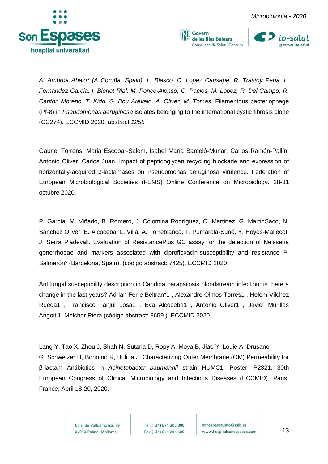



*A. Ambroa Abalo\* (A Coruña, Spain), L. Blasco, C. Lopez Causape, R. Trastoy Pena, L. Fernandez Garcia, I. Bleriot Rial, M. Ponce-Alonso, O. Pacios, M. Lopez, R. Del Campo, R. Canton Moreno, T. Kidd, G. Bou Arevalo, A. Oliver, M. Tomas*. Filamentous bacteriophage (Pf-8) in *Pseudomonas aeruginosa* isolates belonging to the international cystic fibrosis clone (CC274)*.* ECCMID 2020, abstract *1255*

Govern

de les Illes Balears Conselleria de Salut i Consum

Gabriel Torrens, Maria Escobar-Salom, Isabel María Barceló-Munar, Carlos Ramón-Pallín, Antonio Oliver, Carlos Juan. Impact of peptidoglycan recycling blockade and expression of horizontally-acquired β-lactamases on Pseudomonas aeruginosa virulence. Federation of European Microbiological Societies (FEMS) Online Conference on Microbiology. 28-31 octubre 2020.

P. García, M. Viñado, B. Romero, J. Colomina Rodríguez, O. Martinez, G. MartinSaco, N. Sanchez Oliver, E. Alcoceba, L. Villa, A. Torreblanca, T. Pumarola-Suñé, Y. Hoyos-Mallecot, J. Serra Pladevall. Evaluation of ResistancePlus GC assay for the detection of Neisseria gonorrhoeae and markers associated with ciprofloxacin-susceptibility and resistance P. Salmerón\* (Barcelona, Spain), (código abstract: 7425). ECCMID 2020.

Antifungal susceptibility description in Candida parapsilosis bloodstream infection: is there a change in the last years? Adrian Ferre Beltran\*1 , Alexandre Olmos Torres1 , Helem Vilchez Rueda1 , Francisco Fanjul Losa1 , Eva Alcoceba1 , Antonio Oliver1 **,** Javier Murillas Angoiti1, Melchor Riera (código abstract: 3659 ). ECCMID 2020.

Lang Y, Tao X, Zhou J, Shah N, Sutaria D, Ropy A, Moya B, Jiao Y, Louie A, Drusano G, Schweizer H, Bonomo R, Bulitta J. Characterizing Outer Membrane (OM) Permeability for β-lactam Antibiotics in *Acinetobacter baumannii* strain HUMC1. Poster: P2321. 30th European Congress of Clinical Microbiology and Infectious Diseases (ECCMID), Paris, France; April 18-20, 2020.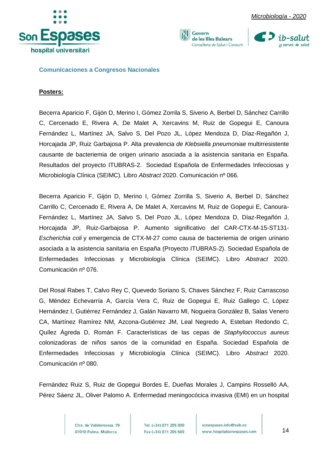



Govern de les Illes Balears Conselleria de Salut i Consum



<span id="page-14-0"></span>**Comunicaciones a Congresos Nacionales**

#### **Posters:**

Becerra Aparicio F, Gijón D, Merino I, Gómez Zorrila S, Siverio A, Berbel D, Sánchez Carrillo C, Cercenado E, Rivera A, De Malet A, Xercavins M, Ruiz de Gopegui E, Canoura Fernández L, Martínez JA, Salvo S, Del Pozo JL, López Mendoza D, Díaz-Regañón J, Horcajada JP, Ruiz Garbajosa P. Alta prevalencia *de Klebsiella pneumoniae* multirresistente causante de bacteriemia de origen urinario asociada a la asistencia sanitaria en España. Resultados del proyecto ITUBRAS-2. Sociedad Española de Enfermedades Infecciosas y Microbiología Clínica (SEIMC). Libro *Abstract* 2020. Comunicación nº 066.

Becerra Aparicio F, Gijón D, Merino I, Gómez Zorrilla S, Siverio A, Berbel D, Sánchez Carrillo C, Cercenado E, Rivera A, De Malet A, Xercavins M, Ruiz de Gopegui E, Canoura-Fernández L, Martínez JA, Salvo S, Del Pozo JL, López Mendoza D, Díaz-Regañón J, Horcajada JP, Ruiz-Garbajosa P. Aumento significativo del CAR-CTX-M-15-ST131- *Escherichia coli* y emergencia de CTX-M-27 como causa de bacteriemia de origen urinario asociada a la asistencia sanitaria en España (Proyecto ITUBRAS-2). Sociedad Española de Enfermedades Infecciosas y Microbiología Clínica (SEIMC). Libro *Abstract* 2020. Comunicación nº 076.

Del Rosal Rabes T, Calvo Rey C, Quevedo Soriano S, Chaves Sánchez F, Ruiz Carrascoso G, Méndez Echevarría A, García Vera C, Ruiz de Gopegui E, Ruiz Gallego C, López Hernández I, Gutiérrez Fernández J, Galán Navarro MI, Nogueira González B, Salas Venero CA, Martínez Ramírez NM, Azcona-Gutiérrez JM, Leal Negredo A, Esteban Redondo C, Quílez Ágreda D, Román F. Características de las cepas de *Staphylococcus aureus* colonizadoras de niños sanos de la comunidad en España. Sociedad Española de Enfermedades Infecciosas y Microbiología Clínica (SEIMC). Libro *Abstract* 2020. Comunicación nº 080.

Fernández Ruiz S, Ruiz de Gopegui Bordes E, Dueñas Morales J, Campins Rosselló AA, Pérez Sáenz JL, Oliver Palomo A. Enfermedad meningocócica invasiva (EMI) en un hospital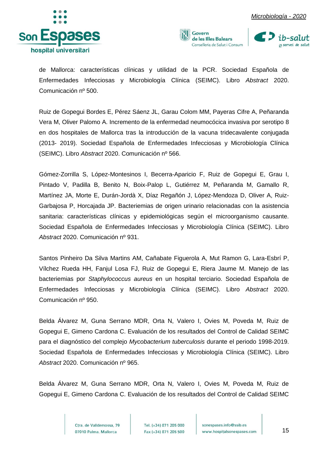





de Mallorca: características clínicas y utilidad de la PCR. Sociedad Española de Enfermedades Infecciosas y Microbiología Clínica (SEIMC). Libro *Abstract* 2020. Comunicación nº 500.

Ruiz de Gopegui Bordes E, Pérez Sáenz JL, Garau Colom MM, Payeras Cifre A, Peñaranda Vera M, Oliver Palomo A. Incremento de la enfermedad neumocócica invasiva por serotipo 8 en dos hospitales de Mallorca tras la introducción de la vacuna tridecavalente conjugada (2013- 2019). Sociedad Española de Enfermedades Infecciosas y Microbiología Clínica (SEIMC). Libro *Abstract* 2020. Comunicación nº 566.

Gómez-Zorrilla S, López-Montesinos I, Becerra-Aparicio F, Ruiz de Gopegui E, Grau I, Pintado V, Padilla B, Benito N, Boix-Palop L, Gutiérrez M, Peñaranda M, Gamallo R, Martínez JA, Morte E, Durán-Jordà X, Díaz Regañón J, López-Mendoza D, Oliver A, Ruiz-Garbajosa P, Horcajada JP. Bacteriemias de origen urinario relacionadas con la asistencia sanitaria: características clínicas y epidemiológicas según el microorganismo causante. Sociedad Española de Enfermedades Infecciosas y Microbiología Clínica (SEIMC). Libro *Abstract* 2020. Comunicación nº 931.

Santos Pinheiro Da Silva Martins AM, Cañabate Figuerola A, Mut Ramon G, Lara-Esbrí P, Vílchez Rueda HH, Fanjul Losa FJ, Ruiz de Gopegui E, Riera Jaume M. Manejo de las bacteriemias por *Staphylococcus aureus* en un hospital terciario. Sociedad Española de Enfermedades Infecciosas y Microbiología Clínica (SEIMC). Libro *Abstract* 2020. Comunicación nº 950.

Belda Álvarez M, Guna Serrano MDR, Orta N, Valero I, Ovies M, Poveda M, Ruiz de Gopegui E, Gimeno Cardona C. Evaluación de los resultados del Control de Calidad SEIMC para el diagnóstico del complejo *Mycobacterium tuberculosis* durante el periodo 1998-2019. Sociedad Española de Enfermedades Infecciosas y Microbiología Clínica (SEIMC). Libro *Abstract* 2020. Comunicación nº 965.

Belda Álvarez M, Guna Serrano MDR, Orta N, Valero I, Ovies M, Poveda M, Ruiz de Gopegui E, Gimeno Cardona C. Evaluación de los resultados del Control de Calidad SEIMC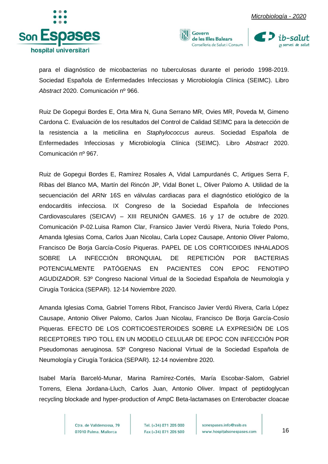





para el diagnóstico de micobacterias no tuberculosas durante el periodo 1998-2019. Sociedad Española de Enfermedades Infecciosas y Microbiología Clínica (SEIMC). Libro *Abstract* 2020. Comunicación nº 966.

Ruiz De Gopegui Bordes E, Orta Mira N, Guna Serrano MR, Ovies MR, Poveda M, Gimeno Cardona C. Evaluación de los resultados del Control de Calidad SEIMC para la detección de la resistencia a la meticilina en *Staphylococcus aureus*. Sociedad Española de Enfermedades Infecciosas y Microbiología Clínica (SEIMC). Libro *Abstract* 2020. Comunicación nº 967.

Ruiz de Gopegui Bordes E, Ramírez Rosales A, Vidal Lampurdanés C, Artigues Serra F, Ribas del Blanco MA, Martín del Rincón JP, Vidal Bonet L, Oliver Palomo A. Utilidad de la secuenciación del ARNr 16S en válvulas cardiacas para el diagnóstico etiológico de la endocarditis infecciosa. IX Congreso de la Sociedad Española de Infecciones Cardiovasculares (SEICAV) – XIII REUNIÓN GAMES. 16 y 17 de octubre de 2020. Comunicación P-02.Luisa Ramon Clar, Fransico Javier Verdú Rivera, Nuria Toledo Pons, Amanda Iglesias Coma, Carlos Juan Nicolau, Carla Lopez Causape, Antonio Oliver Palomo, Francisco De Borja García-Cosío Piqueras. PAPEL DE LOS CORTICOIDES INHALADOS SOBRE LA INFECCIÓN BRONQUIAL DE REPETICIÓN POR BACTERIAS POTENCIALMENTE PATÓGENAS EN PACIENTES CON EPOC FENOTIPO AGUDIZADOR. 53º Congreso Nacional Virtual de la Sociedad Española de Neumología y Cirugía Torácica (SEPAR). 12-14 Noviembre 2020.

Amanda Iglesias Coma, Gabriel Torrens Ribot, Francisco Javier Verdú Rivera, Carla López Causape, Antonio Oliver Palomo, Carlos Juan Nicolau, Francisco De Borja García-Cosío Piqueras. EFECTO DE LOS CORTICOESTEROIDES SOBRE LA EXPRESIÓN DE LOS RECEPTORES TIPO TOLL EN UN MODELO CELULAR DE EPOC CON INFECCIÓN POR Pseudomonas aeruginosa. 53º Congreso Nacional Virtual de la Sociedad Española de Neumología y Cirugía Torácica (SEPAR). 12-14 noviembre 2020.

Isabel María Barceló-Munar, Marina Ramírez-Cortés, María Escobar-Salom, Gabriel Torrens, Elena Jordana-Lluch, Carlos Juan, Antonio Oliver. Impact of peptidoglycan recycling blockade and hyper-production of AmpC Beta-lactamases on Enterobacter cloacae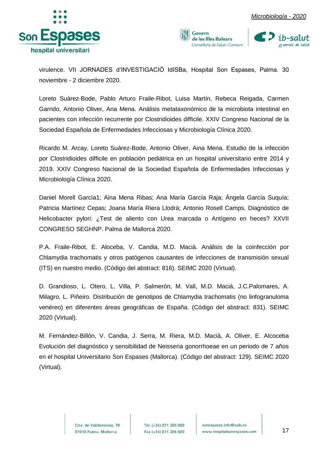





virulence. VII JORNADES d'INVESTIGACIÓ IdISBa, Hospital Son Espases, Palma. 30 noviembre - 2 diciembre 2020.

Loreto Suárez-Bode, Pablo Arturo Fraile-Ribot, Luisa Martín, Rebeca Reigada, Carmen Garrido, Antonio Oliver, Ana Mena. Análisis metataxonómico de la microbiota intestinal en pacientes con infección recurrente por Clostridioides difficile. XXIV Congreso Nacional de la Sociedad Española de Enfermedades Infecciosas y Microbiología Clínica 2020.

Ricardo M. Arcay, Loreto Suárez-Bode, Antonio Oliver, Aina Mena. Estudio de la infección por Clostridioides difficile en población pediátrica en un hospital universitario entre 2014 y 2019. XXIV Congreso Nacional de la Sociedad Española de Enfermedades Infecciosas y Microbiología Clínica 2020.

Daniel Morell García1; Aina Mena Ribas; Ana María García Raja; Ángela García Suquía; Patricia Martínez Cepas; Joana María Riera Llodrà; Antonio Rosell Camps. Diagnóstico de Helicobacter pylori: ¿Test de aliento con Urea marcada o Antígeno en heces? XXVII CONGRESO SEGHNP. Palma de Mallorca 2020.

P.A. Fraile-Ribot, E. Aloceba, V. Candia, M.D. Macià. Análisis de la coinfección por Chlamydia trachomatis y otros patógenos causantes de infecciones de transmisión sexual (ITS) en nuestro medio. (Código del abstract: 816). SEIMC 2020 (Virtual).

D. Grandioso, L. Otero, L. Villa, P. Salmerón, M. Vall, M.D. Maciá, J.C.Palomares, A. Milagro, L. Piñeiro. Distribución de genotipos de Chlamydia trachomatis (no linfogranuloma venéreo) en diferentes áreas geográficas de España. (Código del abstract: 831). SEIMC 2020 (Virtual).

M. Fernández-Billón, V. Candia, J. Serra, M. Riera, M.D. Macià, A. Oliver, E. Alcoceba Evolución del diagnóstico y sensibilidad de Neisseria gonorrhoeae en un periodo de 7 años en el hospital Universitario Son Espases (Mallorca). (Código del abstract: 129). SEIMC 2020 (Virtual).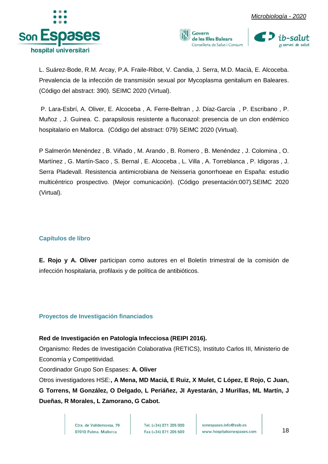





L. Suárez-Bode, R.M. Arcay, P.A. Fraile-Ribot, V. Candia, J. Serra, M.D. Macià, E. Alcoceba. Prevalencia de la infección de transmisión sexual por Mycoplasma genitalium en Baleares. (Código del abstract: 390). SEIMC 2020 (Virtual).

P. Lara-Esbrí, A. Oliver, E. Alcoceba , A. Ferre-Beltran , J. Díaz-García , P. Escribano , P. Muñoz , J. Guinea. C. parapsilosis resistente a fluconazol: presencia de un clon endémico hospitalario en Mallorca. (Código del abstract: 079) SEIMC 2020 (Virtual).

P Salmerón Menéndez , B. Viñado , M. Arando , B. Romero , B. Menéndez , J. Colomina , O. Martínez , G. Martín-Saco , S. Bernal , E. Alcoceba , L. Villa , A. Torreblanca , P. Idigoras , J. Serra Pladevall. Resistencia antimicrobiana de Neisseria gonorrhoeae en España: estudio multicéntrico prospectivo. (Mejor comunicación). (Código presentación:007).SEIMC 2020 (Virtual).

## <span id="page-18-0"></span>**Capítulos de libro**

**E. Rojo y A. Oliver** participan como autores en el Boletín trimestral de la comisión de infección hospitalaria, profilaxis y de política de antibióticos.

#### <span id="page-18-1"></span>**Proyectos de Investigación financiados**

#### **Red de Investigación en Patología Infecciosa (REIPI 2016).**

Organismo: Redes de Investigación Colaborativa (RETICS), Instituto Carlos III, Ministerio de Economía y Competitividad.

Coordinador Grupo Son Espases: **A. Oliver**

Otros investigadores HSE:**, A Mena, MD Maciá, E Ruiz, X Mulet, C López, E Rojo, C Juan, G Torrens, M González, O Delgado, L Periáñez, JI Ayestarán, J Murillas, ML Martín, J Dueñas, R Morales, L Zamorano, G Cabot.**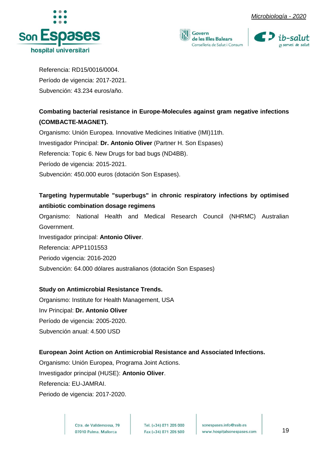





Referencia: RD15/0016/0004. Período de vigencia: 2017-2021. Subvención: 43.234 euros/año.

## **Combating bacterial resistance in Europe-Molecules against gram negative infections (COMBACTE-MAGNET).**

Organismo: Unión Europea. Innovative Medicines Initiative (IMI)11th. Investigador Principal: **Dr. Antonio Oliver** (Partner H. Son Espases) Referencia: Topic 6. New Drugs for bad bugs (ND4BB). Período de vigencia: 2015-2021. Subvención: 450.000 euros (dotación Son Espases).

## **Targeting hypermutable "superbugs" in chronic respiratory infections by optimised antibiotic combination dosage regimens**

Organismo: National Health and Medical Research Council (NHRMC) Australian Government. Investigador principal: **Antonio Oliver**. Referencia: APP1101553 Periodo vigencia: 2016-2020 Subvención: 64.000 dólares australianos (dotación Son Espases)

## **Study on Antimicrobial Resistance Trends.**

Organismo: Institute for Health Management, USA Inv Principal: **Dr. Antonio Oliver** Período de vigencia: 2005-2020. Subvención anual: 4.500 USD

## **European Joint Action on Antimicrobial Resistance and Associated Infections.**

Organismo: Unión Europea, Programa Joint Actions. Investigador principal (HUSE): **Antonio Oliver**. Referencia: EU-JAMRAI.

Periodo de vigencia: 2017-2020.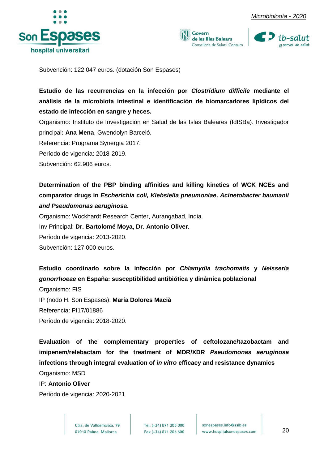





Subvención: 122.047 euros. (dotación Son Espases)

**Estudio de las recurrencias en la infección por** *Clostridium difficile* **mediante el análisis de la microbiota intestinal e identificación de biomarcadores lipídicos del estado de infección en sangre y heces.**

Organismo: Instituto de Investigación en Salud de las Islas Baleares (IdISBa). Investigador principal**: Ana Mena**, Gwendolyn Barceló.

Referencia: Programa Synergia 2017.

Período de vigencia: 2018-2019.

Subvención: 62.906 euros.

**Determination of the PBP binding affinities and killing kinetics of WCK NCEs and comparator drugs in** *Escherichia coli, Klebsiella pneumoniae, Acinetobacter baumanii and Pseudomonas aeruginosa***.**

Organismo: Wockhardt Research Center, Aurangabad, India. Inv Principal: **Dr. Bartolomé Moya, Dr. Antonio Oliver.** Período de vigencia: 2013-2020. Subvención: 127.000 euros.

**Estudio coordinado sobre la infección por** *Chlamydia trachomatis* **y** *Neisseria gonorrhoeae* **en España: susceptibilidad antibiótica y dinámica poblacional**

Organismo: FIS IP (nodo H. Son Espases): **María Dolores Macià** Referencia: PI17/01886 Período de vigencia: 2018-2020.

**Evaluation of the complementary properties of ceftolozane/tazobactam and imipenem/relebactam for the treatment of MDR/XDR** *Pseudomonas aeruginosa* **infections through integral evaluation of** *in vitro* **efficacy and resistance dynamics** Organismo: MSD

IP: **Antonio Oliver**

Período de vigencia: 2020-2021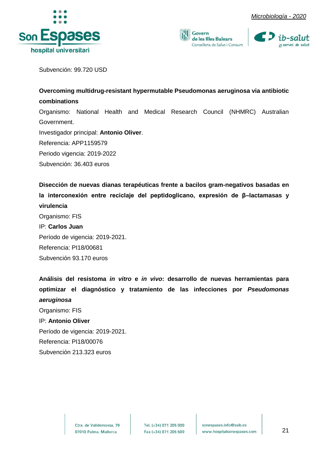





Subvención: 99.720 USD

## **Overcoming multidrug-resistant hypermutable Pseudomonas aeruginosa via antibiotic combinations**  Organismo: National Health and Medical Research Council (NHMRC) Australian Government. Investigador principal: **Antonio Oliver**. Referencia: APP1159579 Periodo vigencia: 2019-2022 Subvención: 36.403 euros

**Disección de nuevas dianas terapéuticas frente a bacilos gram-negativos basadas en la interconexión entre reciclaje del peptidoglicano, expresión de β–lactamasas y virulencia** 

Organismo: FIS IP: **Carlos Juan** Período de vigencia: 2019-2021. Referencia: PI18/00681 Subvención 93.170 euros

**Análisis del resistoma** *in vitro* **e** *in vivo***: desarrollo de nuevas herramientas para optimizar el diagnóstico y tratamiento de las infecciones por** *Pseudomonas aeruginosa*

Organismo: FIS IP: **Antonio Oliver** Período de vigencia: 2019-2021. Referencia: PI18/00076 Subvención 213.323 euros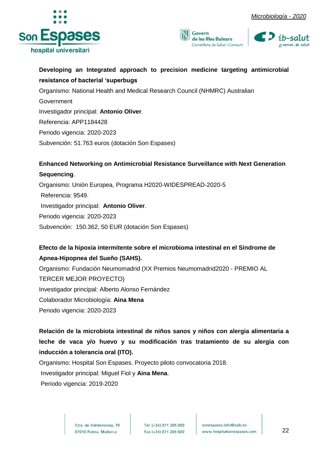





## **Developing an Integrated approach to precision medicine targeting antimicrobial resistance of bacterial 'superbugs**

Organismo: National Health and Medical Research Council (NHMRC) Australian Government Investigador principal: **Antonio Oliver**. Referencia: APP1184428 Periodo vigencia: 2020-2023 Subvención: 51.763 euros (dotación Son Espases)

## **Enhanced Networking on Antimicrobial Resistance Surveillance with Next Generation Sequencing**.

Organismo: Unión Europea, Programa H2020-WIDESPREAD-2020-5 Referencia: 9549. Investigador principal: **Antonio Oliver**. Periodo vigencia: 2020-2023 Subvención: 150.362, 50 EUR (dotación Son Espases)

## **Efecto de la hipoxia intermitente sobre el microbioma intestinal en el Síndrome de Apnea-Hipopnea del Sueño (SAHS).**

Organismo: Fundación Neumomadrid (XX Premios Neumomadrid2020 - PREMIO AL TERCER MEJOR PROYECTO) Investigador principal: Alberto Alonso Fernández Colaborador Microbiología: **Aina Mena** Periodo vigencia: 2020-2023

## **Relación de la microbiota intestinal de niños sanos y niños con alergia alimentaria a leche de vaca y/o huevo y su modificación tras tratamiento de su alergia con inducción a tolerancia oral (ITO).**

Organismo: Hospital Son Espases. Proyecto piloto convocatoria 2018.

Investigador principal: Miguel Fiol y **Aina Mena**.

Periodo vigencia: 2019-2020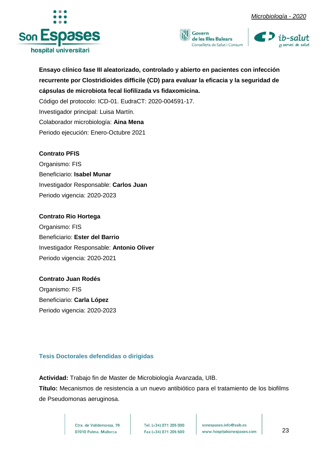





**Ensayo clínico fase III aleatorizado, controlado y abierto en pacientes con infección recurrente por Clostridioides difficile (CD) para evaluar la eficacia y la seguridad de cápsulas de microbiota fecal liofilizada vs fidaxomicina.** 

Código del protocolo: ICD-01. EudraCT: 2020-004591-17. Investigador principal: Luisa Martín. Colaborador microbiología: **Aina Mena** Periodo ejecución: Enero-Octubre 2021

### **Contrato PFIS**

Organismo: FIS Beneficiario: **Isabel Munar** Investigador Responsable: **Carlos Juan** Periodo vigencia: 2020-2023

## **Contrato Rio Hortega**

Organismo: FIS Beneficiario: **Ester del Barrio**  Investigador Responsable: **Antonio Oliver** Periodo vigencia: 2020-2021

## **Contrato Juan Rodés**

Organismo: FIS Beneficiario: **Carla López** Periodo vigencia: 2020-2023

## <span id="page-23-0"></span>**Tesis Doctorales defendidas o dirigidas**

**Actividad:** Trabajo fin de Master de Microbiología Avanzada, UIB.

**Título:** Mecanismos de resistencia a un nuevo antibiótico para el tratamiento de los biofilms de Pseudomonas aeruginosa.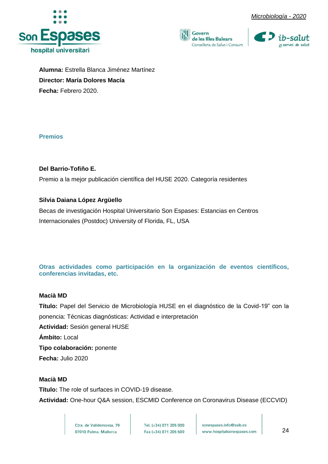







**Alumna:** Estrella Blanca Jiménez Martínez **Director: María Dolores Macía Fecha:** Febrero 2020.

### <span id="page-24-0"></span>**Premios**

**Del Barrio-Tofiño E.** Premio a la mejor publicación científica del HUSE 2020. Categoría residentes

## **Silvia Daiana López Argüello**

Becas de investigación Hospital Universitario Son Espases: Estancias en Centros Internacionales (Postdoc) University of Florida, FL, USA

<span id="page-24-1"></span>**Otras actividades como participación en la organización de eventos científicos, conferencias invitadas, etc.**

## **Macià MD**

**Título:** Papel del Servicio de Microbiología HUSE en el diagnóstico de la Covid-19" con la ponencia: Técnicas diagnósticas: Actividad e interpretación **Actividad:** Sesión general HUSE **Ámbito:** Local

**Tipo colaboración:** ponente

**Fecha:** Julio 2020

## **Macià MD**

**Título:** The role of surfaces in COVID-19 disease. **Actividad:** One-hour Q&A session, ESCMID Conference on Coronavirus Disease (ECCVID)

> Ctra. de Valldemossa, 79 07010 Palma. Mallorca

Tel. (+34) 871 205 000 Fax (+34) 871 205 500

sonespases.info@ssib.es www.hospitalsonespases.com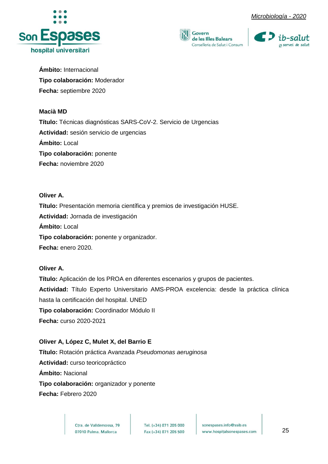





**Ámbito:** Internacional **Tipo colaboración:** Moderador **Fecha:** septiembre 2020

### **Macià MD**

**Título:** Técnicas diagnósticas SARS-CoV-2. Servicio de Urgencias **Actividad:** sesión servicio de urgencias **Ámbito:** Local **Tipo colaboración:** ponente **Fecha:** noviembre 2020

**Oliver A. Título:** Presentación memoria científica y premios de investigación HUSE. **Actividad:** Jornada de investigación **Ámbito:** Local **Tipo colaboración:** ponente y organizador. **Fecha:** enero 2020.

## **Oliver A.**

**Título:** Aplicación de los PROA en diferentes escenarios y grupos de pacientes. **Actividad:** Título Experto Universitario AMS-PROA excelencia: desde la práctica clínica hasta la certificación del hospital. UNED **Tipo colaboración:** Coordinador Módulo II **Fecha:** curso 2020-2021

**Oliver A, López C, Mulet X, del Barrio E Título:** Rotación práctica Avanzada *Pseudomonas aeruginosa* **Actividad:** curso teoricopráctico **Ámbito:** Nacional **Tipo colaboración:** organizador y ponente **Fecha:** Febrero 2020